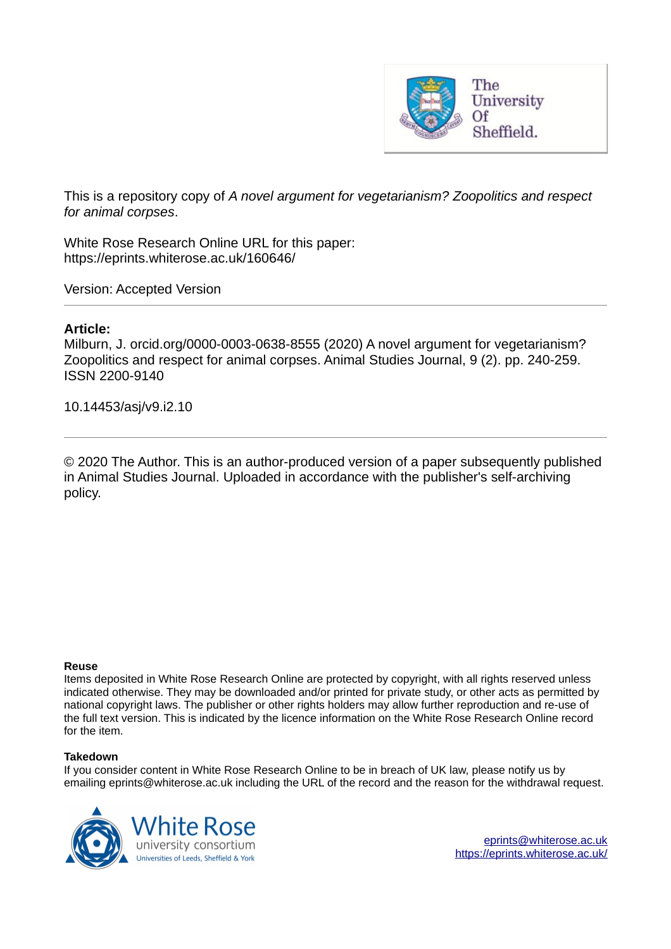

This is a repository copy of *A novel argument for vegetarianism? Zoopolitics and respect for animal corpses*.

White Rose Research Online URL for this paper: https://eprints.whiterose.ac.uk/160646/

Version: Accepted Version

## **Article:**

Milburn, J. orcid.org/0000-0003-0638-8555 (2020) A novel argument for vegetarianism? Zoopolitics and respect for animal corpses. Animal Studies Journal, 9 (2). pp. 240-259. ISSN 2200-9140

10.14453/asj/v9.i2.10

© 2020 The Author. This is an author-produced version of a paper subsequently published in Animal Studies Journal. Uploaded in accordance with the publisher's self-archiving policy.

#### **Reuse**

Items deposited in White Rose Research Online are protected by copyright, with all rights reserved unless indicated otherwise. They may be downloaded and/or printed for private study, or other acts as permitted by national copyright laws. The publisher or other rights holders may allow further reproduction and re-use of the full text version. This is indicated by the licence information on the White Rose Research Online record for the item.

#### **Takedown**

If you consider content in White Rose Research Online to be in breach of UK law, please notify us by emailing eprints@whiterose.ac.uk including the URL of the record and the reason for the withdrawal request.



eprints@whiterose.ac.uk https://eprints.whiterose.ac.uk/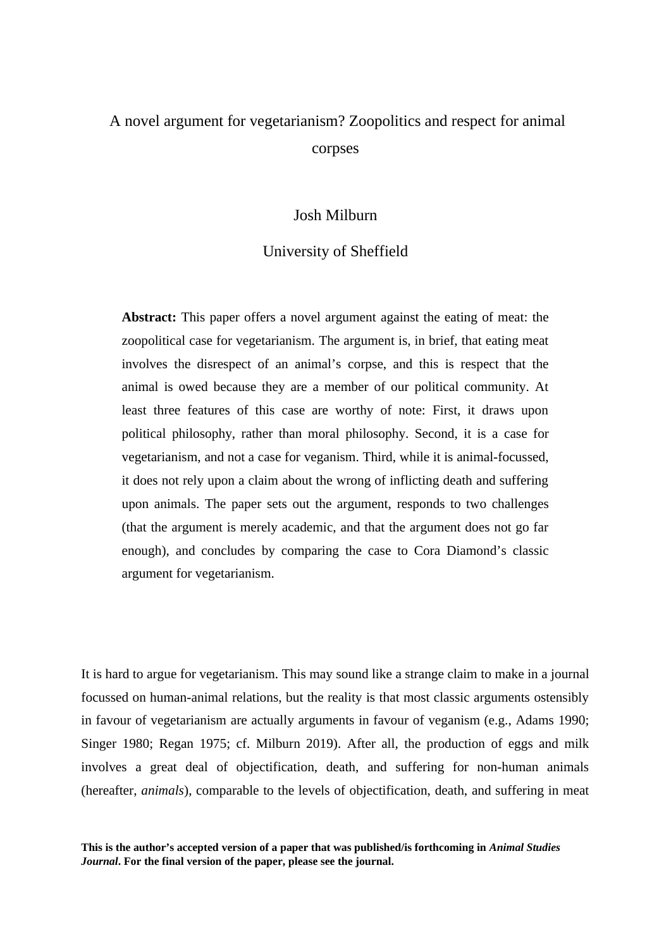# A novel argument for vegetarianism? Zoopolitics and respect for animal corpses

# Josh Milburn

## University of Sheffield

**Abstract:** This paper offers a novel argument against the eating of meat: the zoopolitical case for vegetarianism. The argument is, in brief, that eating meat involves the disrespect of an animal's corpse, and this is respect that the animal is owed because they are a member of our political community. At least three features of this case are worthy of note: First, it draws upon political philosophy, rather than moral philosophy. Second, it is a case for vegetarianism, and not a case for veganism. Third, while it is animal-focussed, it does not rely upon a claim about the wrong of inflicting death and suffering upon animals. The paper sets out the argument, responds to two challenges (that the argument is merely academic, and that the argument does not go far enough), and concludes by comparing the case to Cora Diamond's classic argument for vegetarianism.

It is hard to argue for vegetarianism. This may sound like a strange claim to make in a journal focussed on human-animal relations, but the reality is that most classic arguments ostensibly in favour of vegetarianism are actually arguments in favour of veganism (e.g., Adams 1990; Singer 1980; Regan 1975; cf. Milburn 2019). After all, the production of eggs and milk involves a great deal of objectification, death, and suffering for non-human animals (hereafter, *animals*), comparable to the levels of objectification, death, and suffering in meat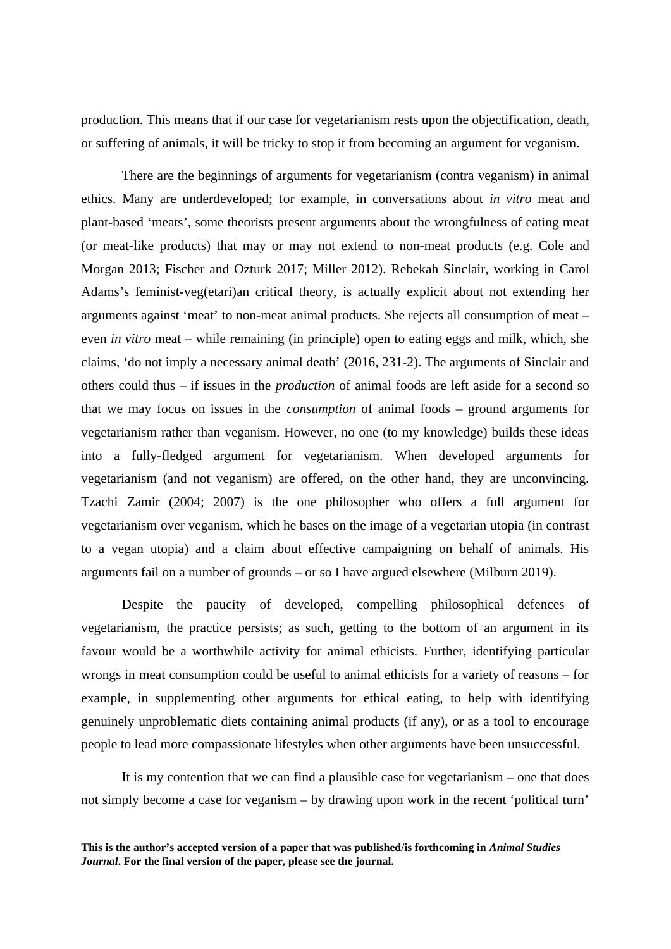production. This means that if our case for vegetarianism rests upon the objectification, death, or suffering of animals, it will be tricky to stop it from becoming an argument for veganism.

There are the beginnings of arguments for vegetarianism (contra veganism) in animal ethics. Many are underdeveloped; for example, in conversations about *in vitro* meat and plant-based 'meats', some theorists present arguments about the wrongfulness of eating meat (or meat-like products) that may or may not extend to non-meat products (e.g. Cole and Morgan 2013; Fischer and Ozturk 2017; Miller 2012). Rebekah Sinclair, working in Carol Adams's feminist-veg(etari)an critical theory, is actually explicit about not extending her arguments against 'meat' to non-meat animal products. She rejects all consumption of meat – even *in vitro* meat – while remaining (in principle) open to eating eggs and milk, which, she claims, 'do not imply a necessary animal death' (2016, 231-2). The arguments of Sinclair and others could thus – if issues in the *production* of animal foods are left aside for a second so that we may focus on issues in the *consumption* of animal foods – ground arguments for vegetarianism rather than veganism. However, no one (to my knowledge) builds these ideas into a fully-fledged argument for vegetarianism. When developed arguments for vegetarianism (and not veganism) are offered, on the other hand, they are unconvincing. Tzachi Zamir (2004; 2007) is the one philosopher who offers a full argument for vegetarianism over veganism, which he bases on the image of a vegetarian utopia (in contrast to a vegan utopia) and a claim about effective campaigning on behalf of animals. His arguments fail on a number of grounds – or so I have argued elsewhere (Milburn 2019).

Despite the paucity of developed, compelling philosophical defences of vegetarianism, the practice persists; as such, getting to the bottom of an argument in its favour would be a worthwhile activity for animal ethicists. Further, identifying particular wrongs in meat consumption could be useful to animal ethicists for a variety of reasons – for example, in supplementing other arguments for ethical eating, to help with identifying genuinely unproblematic diets containing animal products (if any), or as a tool to encourage people to lead more compassionate lifestyles when other arguments have been unsuccessful.

It is my contention that we can find a plausible case for vegetarianism – one that does not simply become a case for veganism – by drawing upon work in the recent 'political turn'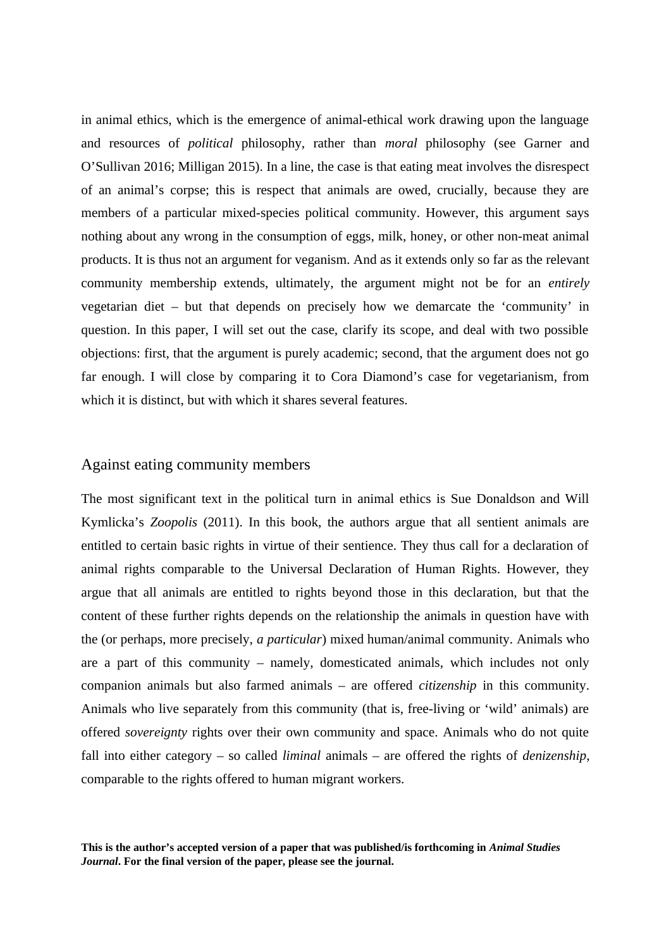in animal ethics, which is the emergence of animal-ethical work drawing upon the language and resources of *political* philosophy, rather than *moral* philosophy (see Garner and O'Sullivan 2016; Milligan 2015). In a line, the case is that eating meat involves the disrespect of an animal's corpse; this is respect that animals are owed, crucially, because they are members of a particular mixed-species political community. However, this argument says nothing about any wrong in the consumption of eggs, milk, honey, or other non-meat animal products. It is thus not an argument for veganism. And as it extends only so far as the relevant community membership extends, ultimately, the argument might not be for an *entirely* vegetarian diet – but that depends on precisely how we demarcate the 'community' in question. In this paper, I will set out the case, clarify its scope, and deal with two possible objections: first, that the argument is purely academic; second, that the argument does not go far enough. I will close by comparing it to Cora Diamond's case for vegetarianism, from which it is distinct, but with which it shares several features.

## Against eating community members

The most significant text in the political turn in animal ethics is Sue Donaldson and Will Kymlicka's *Zoopolis* (2011). In this book, the authors argue that all sentient animals are entitled to certain basic rights in virtue of their sentience. They thus call for a declaration of animal rights comparable to the Universal Declaration of Human Rights. However, they argue that all animals are entitled to rights beyond those in this declaration, but that the content of these further rights depends on the relationship the animals in question have with the (or perhaps, more precisely, *a particular*) mixed human/animal community. Animals who are a part of this community – namely, domesticated animals, which includes not only companion animals but also farmed animals – are offered *citizenship* in this community. Animals who live separately from this community (that is, free-living or 'wild' animals) are offered *sovereignty* rights over their own community and space. Animals who do not quite fall into either category – so called *liminal* animals – are offered the rights of *denizenship*, comparable to the rights offered to human migrant workers.

**This is the author's accepted version of a paper that was published/is forthcoming in** *Animal Studies Journal***. For the final version of the paper, please see the journal.**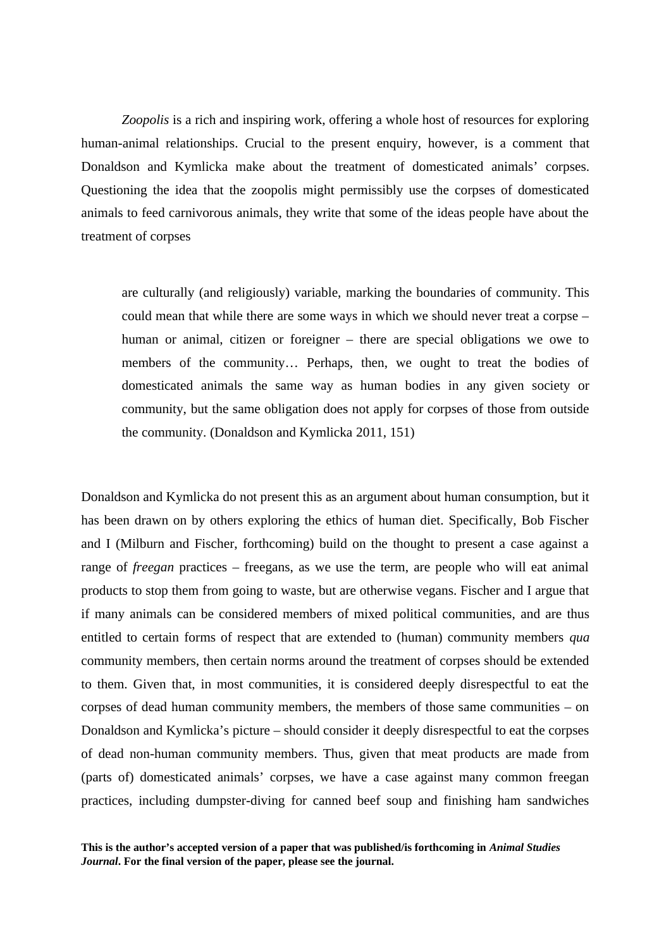*Zoopolis* is a rich and inspiring work, offering a whole host of resources for exploring human-animal relationships. Crucial to the present enquiry, however, is a comment that Donaldson and Kymlicka make about the treatment of domesticated animals' corpses. Questioning the idea that the zoopolis might permissibly use the corpses of domesticated animals to feed carnivorous animals, they write that some of the ideas people have about the treatment of corpses

are culturally (and religiously) variable, marking the boundaries of community. This could mean that while there are some ways in which we should never treat a corpse – human or animal, citizen or foreigner – there are special obligations we owe to members of the community… Perhaps, then, we ought to treat the bodies of domesticated animals the same way as human bodies in any given society or community, but the same obligation does not apply for corpses of those from outside the community. (Donaldson and Kymlicka 2011, 151)

Donaldson and Kymlicka do not present this as an argument about human consumption, but it has been drawn on by others exploring the ethics of human diet. Specifically, Bob Fischer and I (Milburn and Fischer, forthcoming) build on the thought to present a case against a range of *freegan* practices – freegans, as we use the term, are people who will eat animal products to stop them from going to waste, but are otherwise vegans. Fischer and I argue that if many animals can be considered members of mixed political communities, and are thus entitled to certain forms of respect that are extended to (human) community members *qua* community members, then certain norms around the treatment of corpses should be extended to them. Given that, in most communities, it is considered deeply disrespectful to eat the corpses of dead human community members, the members of those same communities – on Donaldson and Kymlicka's picture – should consider it deeply disrespectful to eat the corpses of dead non-human community members. Thus, given that meat products are made from (parts of) domesticated animals' corpses, we have a case against many common freegan practices, including dumpster-diving for canned beef soup and finishing ham sandwiches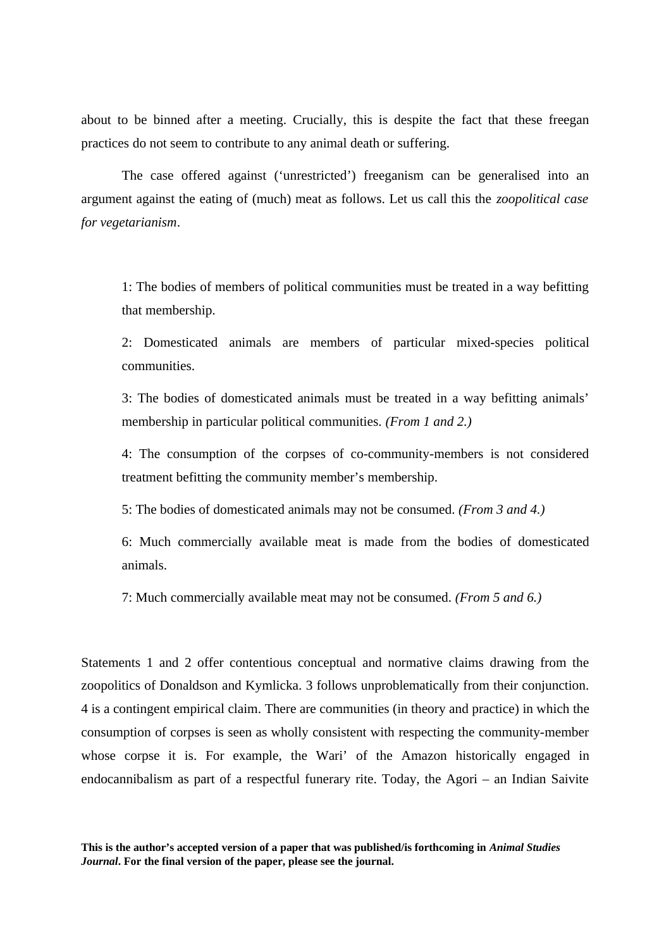about to be binned after a meeting. Crucially, this is despite the fact that these freegan practices do not seem to contribute to any animal death or suffering.

The case offered against ('unrestricted') freeganism can be generalised into an argument against the eating of (much) meat as follows. Let us call this the *zoopolitical case for vegetarianism*.

1: The bodies of members of political communities must be treated in a way befitting that membership.

2: Domesticated animals are members of particular mixed-species political communities.

3: The bodies of domesticated animals must be treated in a way befitting animals' membership in particular political communities. *(From 1 and 2.)*

4: The consumption of the corpses of co-community-members is not considered treatment befitting the community member's membership.

5: The bodies of domesticated animals may not be consumed. *(From 3 and 4.)*

6: Much commercially available meat is made from the bodies of domesticated animals.

7: Much commercially available meat may not be consumed. *(From 5 and 6.)*

Statements 1 and 2 offer contentious conceptual and normative claims drawing from the zoopolitics of Donaldson and Kymlicka. 3 follows unproblematically from their conjunction. 4 is a contingent empirical claim. There are communities (in theory and practice) in which the consumption of corpses is seen as wholly consistent with respecting the community-member whose corpse it is. For example, the Wari' of the Amazon historically engaged in endocannibalism as part of a respectful funerary rite. Today, the Agori – an Indian Saivite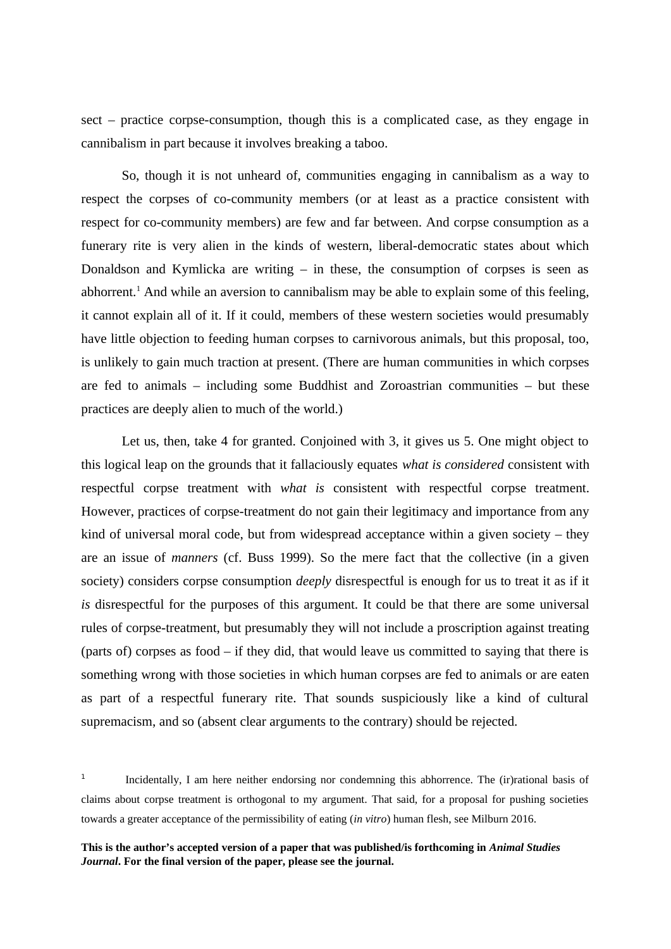sect – practice corpse-consumption, though this is a complicated case, as they engage in cannibalism in part because it involves breaking a taboo.

So, though it is not unheard of, communities engaging in cannibalism as a way to respect the corpses of co-community members (or at least as a practice consistent with respect for co-community members) are few and far between. And corpse consumption as a funerary rite is very alien in the kinds of western, liberal-democratic states about which Donaldson and Kymlicka are writing – in these, the consumption of corpses is seen as abhorrent.<sup>1</sup> And while an aversion to cannibalism may be able to explain some of this feeling, it cannot explain all of it. If it could, members of these western societies would presumably have little objection to feeding human corpses to carnivorous animals, but this proposal, too, is unlikely to gain much traction at present. (There are human communities in which corpses are fed to animals – including some Buddhist and Zoroastrian communities – but these practices are deeply alien to much of the world.)

Let us, then, take 4 for granted. Conjoined with 3, it gives us 5. One might object to this logical leap on the grounds that it fallaciously equates *what is considered* consistent with respectful corpse treatment with *what is* consistent with respectful corpse treatment. However, practices of corpse-treatment do not gain their legitimacy and importance from any kind of universal moral code, but from widespread acceptance within a given society – they are an issue of *manners* (cf. Buss 1999). So the mere fact that the collective (in a given society) considers corpse consumption *deeply* disrespectful is enough for us to treat it as if it *is* disrespectful for the purposes of this argument. It could be that there are some universal rules of corpse-treatment, but presumably they will not include a proscription against treating (parts of) corpses as food – if they did, that would leave us committed to saying that there is something wrong with those societies in which human corpses are fed to animals or are eaten as part of a respectful funerary rite. That sounds suspiciously like a kind of cultural supremacism, and so (absent clear arguments to the contrary) should be rejected.

<sup>1</sup> Incidentally, I am here neither endorsing nor condemning this abhorrence. The (ir)rational basis of claims about corpse treatment is orthogonal to my argument. That said, for a proposal for pushing societies towards a greater acceptance of the permissibility of eating (*in vitro*) human flesh, see Milburn 2016.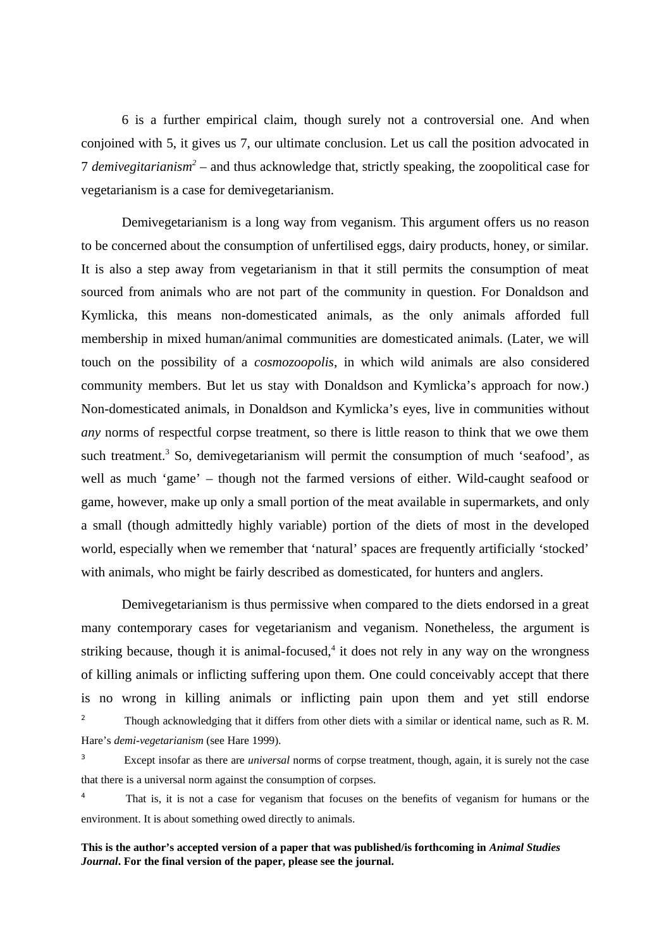6 is a further empirical claim, though surely not a controversial one. And when conjoined with 5, it gives us 7, our ultimate conclusion. Let us call the position advocated in 7 *demivegitarianism<sup>2</sup> –* and thus acknowledge that, strictly speaking, the zoopolitical case for vegetarianism is a case for demivegetarianism.

Demivegetarianism is a long way from veganism. This argument offers us no reason to be concerned about the consumption of unfertilised eggs, dairy products, honey, or similar. It is also a step away from vegetarianism in that it still permits the consumption of meat sourced from animals who are not part of the community in question. For Donaldson and Kymlicka, this means non-domesticated animals, as the only animals afforded full membership in mixed human/animal communities are domesticated animals. (Later, we will touch on the possibility of a *cosmozoopolis*, in which wild animals are also considered community members. But let us stay with Donaldson and Kymlicka's approach for now.) Non-domesticated animals, in Donaldson and Kymlicka's eyes, live in communities without *any* norms of respectful corpse treatment, so there is little reason to think that we owe them such treatment.<sup>3</sup> So, demivegetarianism will permit the consumption of much 'seafood', as well as much 'game' – though not the farmed versions of either. Wild-caught seafood or game, however, make up only a small portion of the meat available in supermarkets, and only a small (though admittedly highly variable) portion of the diets of most in the developed world, especially when we remember that 'natural' spaces are frequently artificially 'stocked' with animals, who might be fairly described as domesticated, for hunters and anglers.

Demivegetarianism is thus permissive when compared to the diets endorsed in a great many contemporary cases for vegetarianism and veganism. Nonetheless, the argument is striking because, though it is animal-focused,<sup>4</sup> it does not rely in any way on the wrongness of killing animals or inflicting suffering upon them. One could conceivably accept that there is no wrong in killing animals or inflicting pain upon them and yet still endorse <sup>2</sup> Though acknowledging that it differs from other diets with a similar or identical name, such as R. M. Hare's *demi-vegetarianism* (see Hare 1999).

<sup>3</sup>Except insofar as there are *universal* norms of corpse treatment, though, again, it is surely not the case that there is a universal norm against the consumption of corpses.

<sup>4</sup> That is, it is not a case for veganism that focuses on the benefits of veganism for humans or the environment. It is about something owed directly to animals.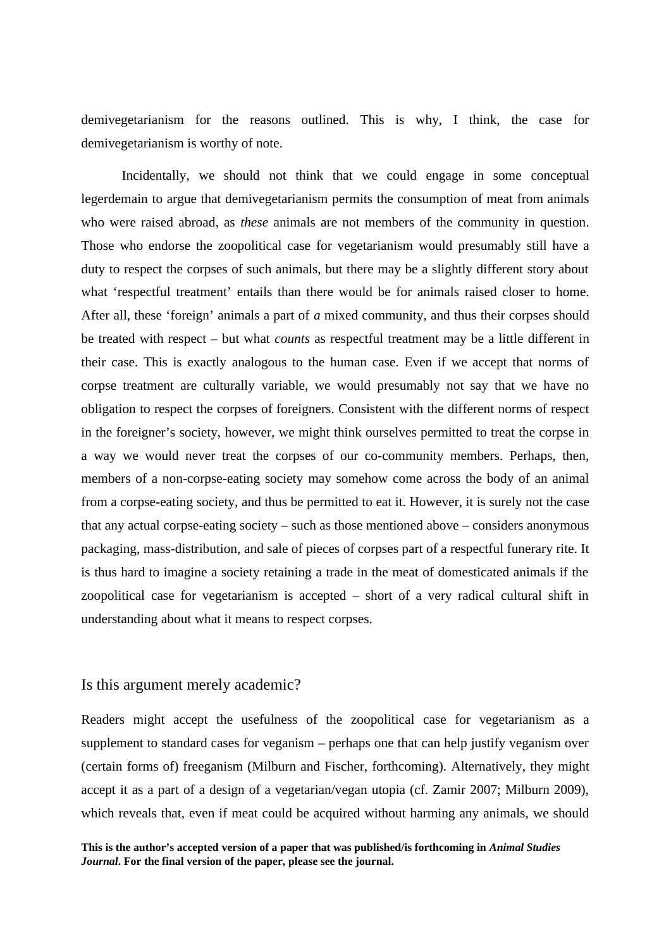demivegetarianism for the reasons outlined. This is why, I think, the case for demivegetarianism is worthy of note.

Incidentally, we should not think that we could engage in some conceptual legerdemain to argue that demivegetarianism permits the consumption of meat from animals who were raised abroad, as *these* animals are not members of the community in question. Those who endorse the zoopolitical case for vegetarianism would presumably still have a duty to respect the corpses of such animals, but there may be a slightly different story about what 'respectful treatment' entails than there would be for animals raised closer to home. After all, these 'foreign' animals a part of *a* mixed community, and thus their corpses should be treated with respect – but what *counts* as respectful treatment may be a little different in their case. This is exactly analogous to the human case. Even if we accept that norms of corpse treatment are culturally variable, we would presumably not say that we have no obligation to respect the corpses of foreigners. Consistent with the different norms of respect in the foreigner's society, however, we might think ourselves permitted to treat the corpse in a way we would never treat the corpses of our co-community members. Perhaps, then, members of a non-corpse-eating society may somehow come across the body of an animal from a corpse-eating society, and thus be permitted to eat it. However, it is surely not the case that any actual corpse-eating society – such as those mentioned above – considers anonymous packaging, mass-distribution, and sale of pieces of corpses part of a respectful funerary rite. It is thus hard to imagine a society retaining a trade in the meat of domesticated animals if the zoopolitical case for vegetarianism is accepted – short of a very radical cultural shift in understanding about what it means to respect corpses.

## Is this argument merely academic?

Readers might accept the usefulness of the zoopolitical case for vegetarianism as a supplement to standard cases for veganism – perhaps one that can help justify veganism over (certain forms of) freeganism (Milburn and Fischer, forthcoming). Alternatively, they might accept it as a part of a design of a vegetarian/vegan utopia (cf. Zamir 2007; Milburn 2009), which reveals that, even if meat could be acquired without harming any animals, we should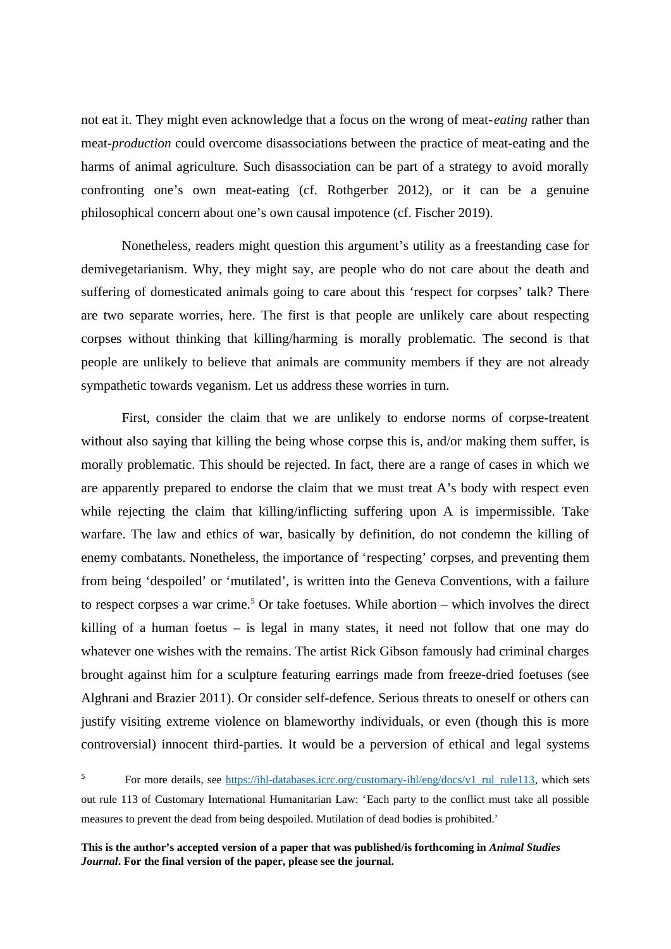not eat it. They might even acknowledge that a focus on the wrong of meat-*eating* rather than meat-*production* could overcome disassociations between the practice of meat-eating and the harms of animal agriculture. Such disassociation can be part of a strategy to avoid morally confronting one's own meat-eating (cf. Rothgerber 2012), or it can be a genuine philosophical concern about one's own causal impotence (cf. Fischer 2019).

Nonetheless, readers might question this argument's utility as a freestanding case for demivegetarianism. Why, they might say, are people who do not care about the death and suffering of domesticated animals going to care about this 'respect for corpses' talk? There are two separate worries, here. The first is that people are unlikely care about respecting corpses without thinking that killing/harming is morally problematic. The second is that people are unlikely to believe that animals are community members if they are not already sympathetic towards veganism. Let us address these worries in turn.

First, consider the claim that we are unlikely to endorse norms of corpse-treatent without also saying that killing the being whose corpse this is, and/or making them suffer, is morally problematic. This should be rejected. In fact, there are a range of cases in which we are apparently prepared to endorse the claim that we must treat A's body with respect even while rejecting the claim that killing/inflicting suffering upon A is impermissible. Take warfare. The law and ethics of war, basically by definition, do not condemn the killing of enemy combatants. Nonetheless, the importance of 'respecting' corpses, and preventing them from being 'despoiled' or 'mutilated', is written into the Geneva Conventions, with a failure to respect corpses a war crime.<sup>5</sup> Or take foetuses. While abortion – which involves the direct killing of a human foetus  $-$  is legal in many states, it need not follow that one may do whatever one wishes with the remains. The artist Rick Gibson famously had criminal charges brought against him for a sculpture featuring earrings made from freeze-dried foetuses (see Alghrani and Brazier 2011). Or consider self-defence. Serious threats to oneself or others can justify visiting extreme violence on blameworthy individuals, or even (though this is more controversial) innocent third-parties. It would be a perversion of ethical and legal systems

<sup>5</sup> For more details, see https://ihl-databases.icrc.org/customary-ihl/eng/docs/v1\_rul\_rule113, which sets out rule 113 of Customary International Humanitarian Law: 'Each party to the conflict must take all possible measures to prevent the dead from being despoiled. Mutilation of dead bodies is prohibited.'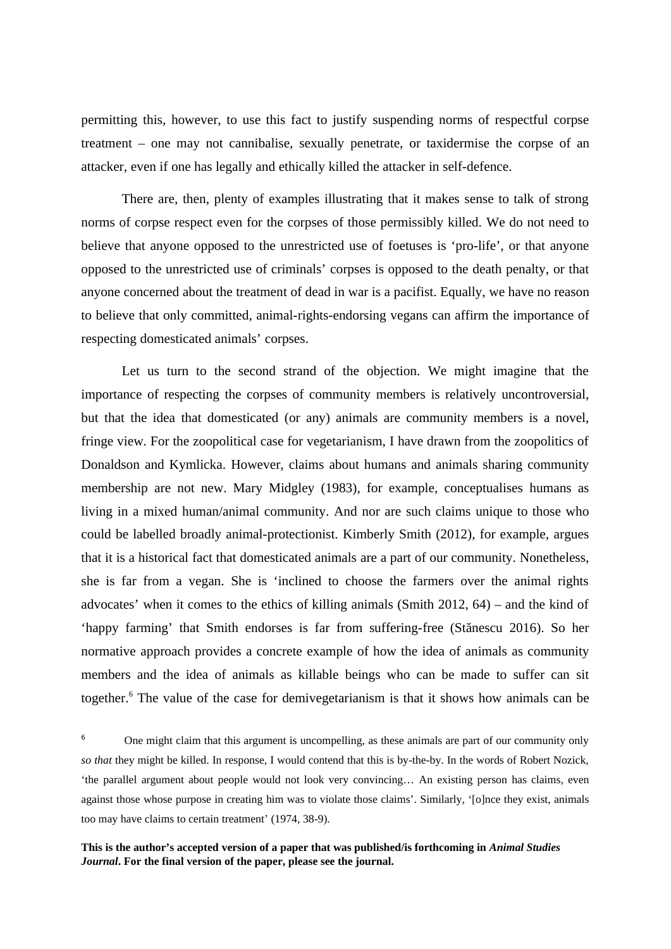permitting this, however, to use this fact to justify suspending norms of respectful corpse treatment – one may not cannibalise, sexually penetrate, or taxidermise the corpse of an attacker, even if one has legally and ethically killed the attacker in self-defence.

There are, then, plenty of examples illustrating that it makes sense to talk of strong norms of corpse respect even for the corpses of those permissibly killed. We do not need to believe that anyone opposed to the unrestricted use of foetuses is 'pro-life', or that anyone opposed to the unrestricted use of criminals' corpses is opposed to the death penalty, or that anyone concerned about the treatment of dead in war is a pacifist. Equally, we have no reason to believe that only committed, animal-rights-endorsing vegans can affirm the importance of respecting domesticated animals' corpses.

Let us turn to the second strand of the objection. We might imagine that the importance of respecting the corpses of community members is relatively uncontroversial, but that the idea that domesticated (or any) animals are community members is a novel, fringe view. For the zoopolitical case for vegetarianism, I have drawn from the zoopolitics of Donaldson and Kymlicka. However, claims about humans and animals sharing community membership are not new. Mary Midgley (1983), for example, conceptualises humans as living in a mixed human/animal community. And nor are such claims unique to those who could be labelled broadly animal-protectionist. Kimberly Smith (2012), for example, argues that it is a historical fact that domesticated animals are a part of our community. Nonetheless, she is far from a vegan. She is 'inclined to choose the farmers over the animal rights advocates' when it comes to the ethics of killing animals (Smith 2012, 64) – and the kind of 'happy farming' that Smith endorses is far from suffering-free (Stănescu 2016). So her normative approach provides a concrete example of how the idea of animals as community members and the idea of animals as killable beings who can be made to suffer can sit together.<sup>6</sup> The value of the case for demivegetarianism is that it shows how animals can be

<sup>6</sup> One might claim that this argument is uncompelling, as these animals are part of our community only *so that* they might be killed. In response, I would contend that this is by-the-by. In the words of Robert Nozick, 'the parallel argument about people would not look very convincing… An existing person has claims, even against those whose purpose in creating him was to violate those claims'. Similarly, '[o]nce they exist, animals too may have claims to certain treatment' (1974, 38-9).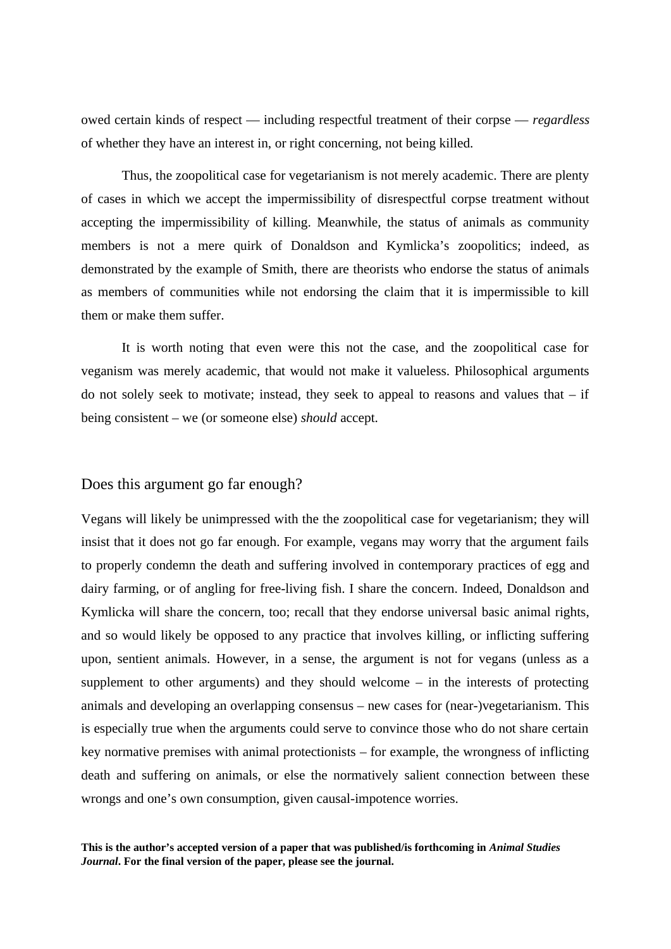owed certain kinds of respect — including respectful treatment of their corpse — *regardless* of whether they have an interest in, or right concerning, not being killed.

Thus, the zoopolitical case for vegetarianism is not merely academic. There are plenty of cases in which we accept the impermissibility of disrespectful corpse treatment without accepting the impermissibility of killing. Meanwhile, the status of animals as community members is not a mere quirk of Donaldson and Kymlicka's zoopolitics; indeed, as demonstrated by the example of Smith, there are theorists who endorse the status of animals as members of communities while not endorsing the claim that it is impermissible to kill them or make them suffer.

It is worth noting that even were this not the case, and the zoopolitical case for veganism was merely academic, that would not make it valueless. Philosophical arguments do not solely seek to motivate; instead, they seek to appeal to reasons and values that  $-$  if being consistent – we (or someone else) *should* accept.

### Does this argument go far enough?

Vegans will likely be unimpressed with the the zoopolitical case for vegetarianism; they will insist that it does not go far enough. For example, vegans may worry that the argument fails to properly condemn the death and suffering involved in contemporary practices of egg and dairy farming, or of angling for free-living fish. I share the concern. Indeed, Donaldson and Kymlicka will share the concern, too; recall that they endorse universal basic animal rights, and so would likely be opposed to any practice that involves killing, or inflicting suffering upon, sentient animals. However, in a sense, the argument is not for vegans (unless as a supplement to other arguments) and they should welcome  $-$  in the interests of protecting animals and developing an overlapping consensus – new cases for (near-)vegetarianism. This is especially true when the arguments could serve to convince those who do not share certain key normative premises with animal protectionists – for example, the wrongness of inflicting death and suffering on animals, or else the normatively salient connection between these wrongs and one's own consumption, given causal-impotence worries.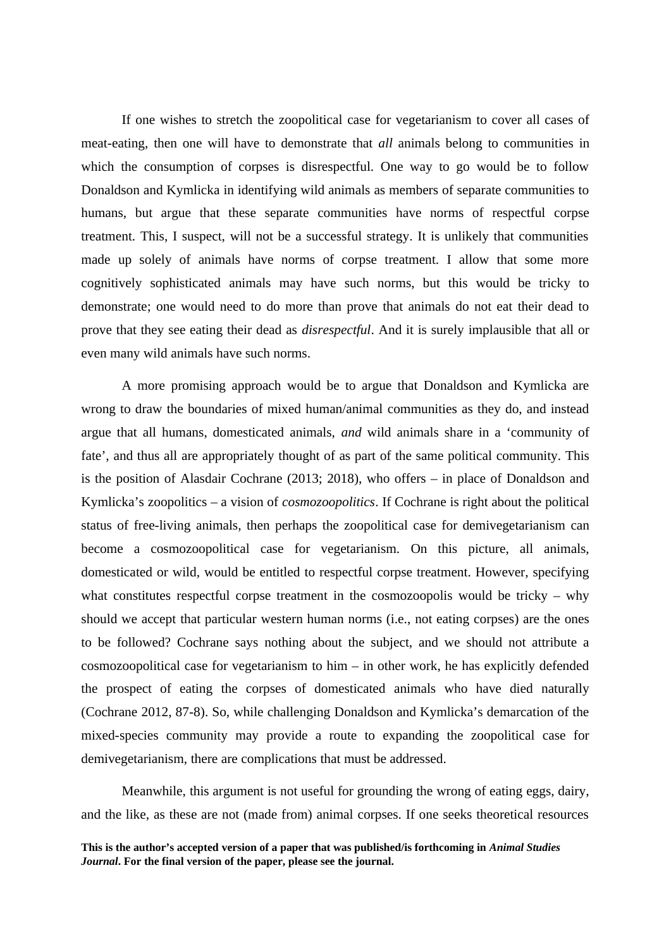If one wishes to stretch the zoopolitical case for vegetarianism to cover all cases of meat-eating, then one will have to demonstrate that *all* animals belong to communities in which the consumption of corpses is disrespectful. One way to go would be to follow Donaldson and Kymlicka in identifying wild animals as members of separate communities to humans, but argue that these separate communities have norms of respectful corpse treatment. This, I suspect, will not be a successful strategy. It is unlikely that communities made up solely of animals have norms of corpse treatment. I allow that some more cognitively sophisticated animals may have such norms, but this would be tricky to demonstrate; one would need to do more than prove that animals do not eat their dead to prove that they see eating their dead as *disrespectful*. And it is surely implausible that all or even many wild animals have such norms.

A more promising approach would be to argue that Donaldson and Kymlicka are wrong to draw the boundaries of mixed human/animal communities as they do, and instead argue that all humans, domesticated animals, *and* wild animals share in a 'community of fate', and thus all are appropriately thought of as part of the same political community. This is the position of Alasdair Cochrane (2013; 2018), who offers – in place of Donaldson and Kymlicka's zoopolitics – a vision of *cosmozoopolitics*. If Cochrane is right about the political status of free-living animals, then perhaps the zoopolitical case for demivegetarianism can become a cosmozoopolitical case for vegetarianism. On this picture, all animals, domesticated or wild, would be entitled to respectful corpse treatment. However, specifying what constitutes respectful corpse treatment in the cosmozoopolis would be tricky – why should we accept that particular western human norms (i.e., not eating corpses) are the ones to be followed? Cochrane says nothing about the subject, and we should not attribute a cosmozoopolitical case for vegetarianism to him – in other work, he has explicitly defended the prospect of eating the corpses of domesticated animals who have died naturally (Cochrane 2012, 87-8). So, while challenging Donaldson and Kymlicka's demarcation of the mixed-species community may provide a route to expanding the zoopolitical case for demivegetarianism, there are complications that must be addressed.

Meanwhile, this argument is not useful for grounding the wrong of eating eggs, dairy, and the like, as these are not (made from) animal corpses. If one seeks theoretical resources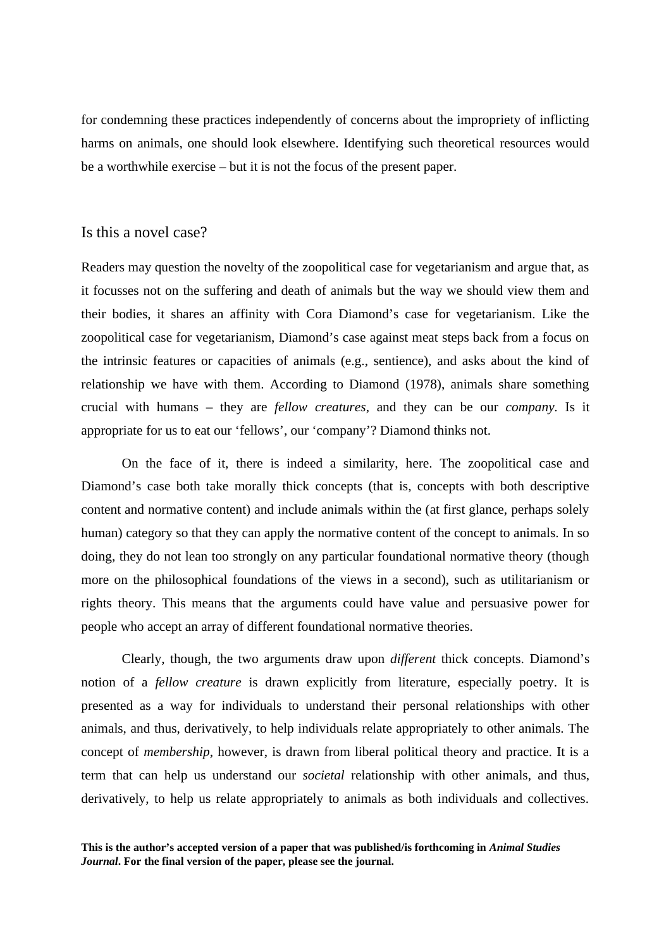for condemning these practices independently of concerns about the impropriety of inflicting harms on animals, one should look elsewhere. Identifying such theoretical resources would be a worthwhile exercise – but it is not the focus of the present paper.

# Is this a novel case?

Readers may question the novelty of the zoopolitical case for vegetarianism and argue that, as it focusses not on the suffering and death of animals but the way we should view them and their bodies, it shares an affinity with Cora Diamond's case for vegetarianism. Like the zoopolitical case for vegetarianism, Diamond's case against meat steps back from a focus on the intrinsic features or capacities of animals (e.g., sentience), and asks about the kind of relationship we have with them. According to Diamond (1978), animals share something crucial with humans – they are *fellow creatures*, and they can be our *company.* Is it appropriate for us to eat our 'fellows', our 'company'? Diamond thinks not.

On the face of it, there is indeed a similarity, here. The zoopolitical case and Diamond's case both take morally thick concepts (that is, concepts with both descriptive content and normative content) and include animals within the (at first glance, perhaps solely human) category so that they can apply the normative content of the concept to animals. In so doing, they do not lean too strongly on any particular foundational normative theory (though more on the philosophical foundations of the views in a second), such as utilitarianism or rights theory. This means that the arguments could have value and persuasive power for people who accept an array of different foundational normative theories.

Clearly, though, the two arguments draw upon *different* thick concepts. Diamond's notion of a *fellow creature* is drawn explicitly from literature, especially poetry. It is presented as a way for individuals to understand their personal relationships with other animals, and thus, derivatively, to help individuals relate appropriately to other animals. The concept of *membership*, however, is drawn from liberal political theory and practice. It is a term that can help us understand our *societal* relationship with other animals, and thus, derivatively, to help us relate appropriately to animals as both individuals and collectives.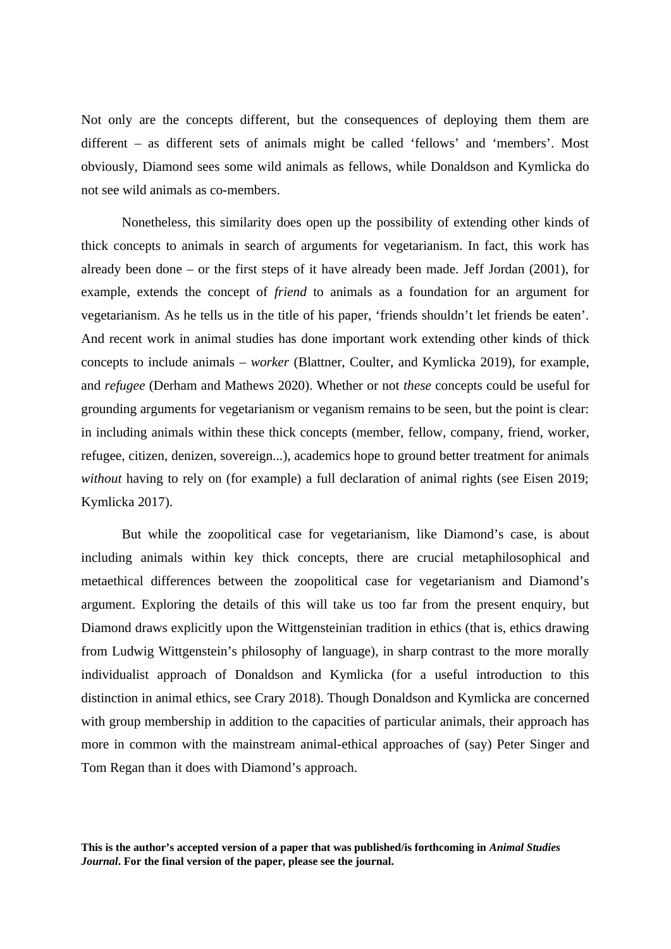Not only are the concepts different, but the consequences of deploying them them are different – as different sets of animals might be called 'fellows' and 'members'. Most obviously, Diamond sees some wild animals as fellows, while Donaldson and Kymlicka do not see wild animals as co-members.

Nonetheless, this similarity does open up the possibility of extending other kinds of thick concepts to animals in search of arguments for vegetarianism. In fact, this work has already been done – or the first steps of it have already been made. Jeff Jordan (2001), for example, extends the concept of *friend* to animals as a foundation for an argument for vegetarianism. As he tells us in the title of his paper, 'friends shouldn't let friends be eaten'. And recent work in animal studies has done important work extending other kinds of thick concepts to include animals – *worker* (Blattner, Coulter, and Kymlicka 2019), for example, and *refugee* (Derham and Mathews 2020). Whether or not *these* concepts could be useful for grounding arguments for vegetarianism or veganism remains to be seen, but the point is clear: in including animals within these thick concepts (member, fellow, company, friend, worker, refugee, citizen, denizen, sovereign...), academics hope to ground better treatment for animals *without* having to rely on (for example) a full declaration of animal rights (see Eisen 2019; Kymlicka 2017).

But while the zoopolitical case for vegetarianism, like Diamond's case, is about including animals within key thick concepts, there are crucial metaphilosophical and metaethical differences between the zoopolitical case for vegetarianism and Diamond's argument. Exploring the details of this will take us too far from the present enquiry, but Diamond draws explicitly upon the Wittgensteinian tradition in ethics (that is, ethics drawing from Ludwig Wittgenstein's philosophy of language), in sharp contrast to the more morally individualist approach of Donaldson and Kymlicka (for a useful introduction to this distinction in animal ethics, see Crary 2018). Though Donaldson and Kymlicka are concerned with group membership in addition to the capacities of particular animals, their approach has more in common with the mainstream animal-ethical approaches of (say) Peter Singer and Tom Regan than it does with Diamond's approach.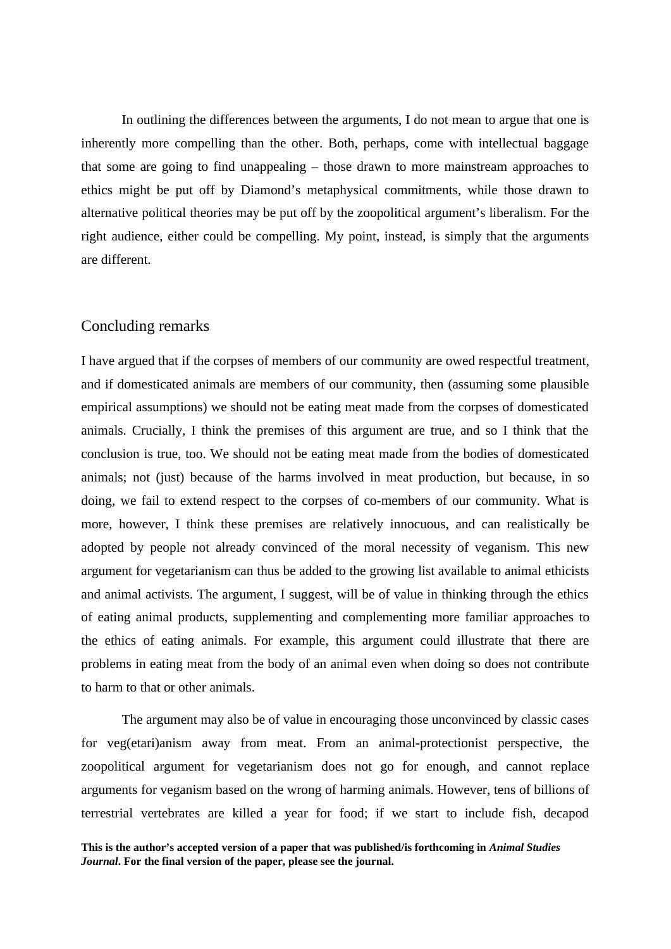In outlining the differences between the arguments, I do not mean to argue that one is inherently more compelling than the other. Both, perhaps, come with intellectual baggage that some are going to find unappealing – those drawn to more mainstream approaches to ethics might be put off by Diamond's metaphysical commitments, while those drawn to alternative political theories may be put off by the zoopolitical argument's liberalism. For the right audience, either could be compelling. My point, instead, is simply that the arguments are different.

## Concluding remarks

I have argued that if the corpses of members of our community are owed respectful treatment, and if domesticated animals are members of our community, then (assuming some plausible empirical assumptions) we should not be eating meat made from the corpses of domesticated animals. Crucially, I think the premises of this argument are true, and so I think that the conclusion is true, too. We should not be eating meat made from the bodies of domesticated animals; not (just) because of the harms involved in meat production, but because, in so doing, we fail to extend respect to the corpses of co-members of our community. What is more, however, I think these premises are relatively innocuous, and can realistically be adopted by people not already convinced of the moral necessity of veganism. This new argument for vegetarianism can thus be added to the growing list available to animal ethicists and animal activists. The argument, I suggest, will be of value in thinking through the ethics of eating animal products, supplementing and complementing more familiar approaches to the ethics of eating animals. For example, this argument could illustrate that there are problems in eating meat from the body of an animal even when doing so does not contribute to harm to that or other animals.

The argument may also be of value in encouraging those unconvinced by classic cases for veg(etari)anism away from meat. From an animal-protectionist perspective, the zoopolitical argument for vegetarianism does not go for enough, and cannot replace arguments for veganism based on the wrong of harming animals. However, tens of billions of terrestrial vertebrates are killed a year for food; if we start to include fish, decapod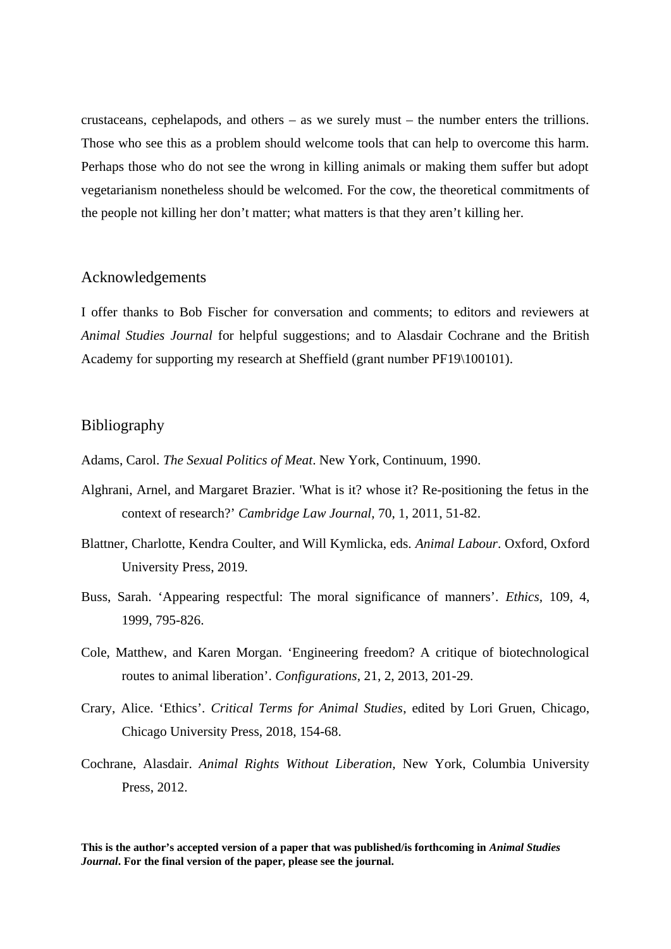crustaceans, cephelapods, and others  $-$  as we surely must  $-$  the number enters the trillions. Those who see this as a problem should welcome tools that can help to overcome this harm. Perhaps those who do not see the wrong in killing animals or making them suffer but adopt vegetarianism nonetheless should be welcomed. For the cow, the theoretical commitments of the people not killing her don't matter; what matters is that they aren't killing her.

## Acknowledgements

I offer thanks to Bob Fischer for conversation and comments; to editors and reviewers at *Animal Studies Journal* for helpful suggestions; and to Alasdair Cochrane and the British Academy for supporting my research at Sheffield (grant number PF19\100101).

# Bibliography

Adams, Carol. *The Sexual Politics of Meat*. New York, Continuum, 1990.

- Alghrani, Arnel, and Margaret Brazier. 'What is it? whose it? Re-positioning the fetus in the context of research?' *Cambridge Law Journal*, 70, 1, 2011, 51-82.
- Blattner, Charlotte, Kendra Coulter, and Will Kymlicka, eds. *Animal Labour*. Oxford, Oxford University Press, 2019.
- Buss, Sarah. 'Appearing respectful: The moral significance of manners'. *Ethics,* 109, 4, 1999, 795-826.
- Cole, Matthew, and Karen Morgan. 'Engineering freedom? A critique of biotechnological routes to animal liberation'. *Configurations*, 21, 2, 2013, 201-29.
- Crary, Alice. 'Ethics'. *Critical Terms for Animal Studies*, edited by Lori Gruen, Chicago, Chicago University Press, 2018, 154-68.
- Cochrane, Alasdair. *Animal Rights Without Liberation,* New York, Columbia University Press, 2012.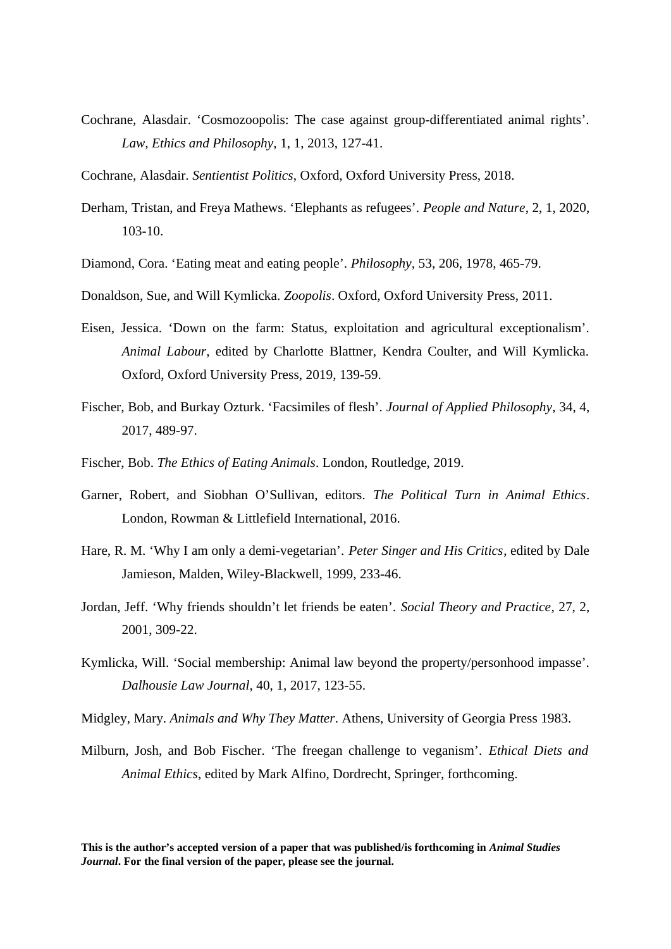- Cochrane, Alasdair. 'Cosmozoopolis: The case against group-differentiated animal rights'. *Law, Ethics and Philosophy,* 1, 1, 2013, 127-41.
- Cochrane, Alasdair. *Sentientist Politics*, Oxford, Oxford University Press, 2018.
- Derham, Tristan, and Freya Mathews. 'Elephants as refugees'. *People and Nature*, 2, 1, 2020, 103-10.
- Diamond, Cora. 'Eating meat and eating people'. *Philosophy,* 53, 206, 1978, 465-79.
- Donaldson, Sue, and Will Kymlicka. *Zoopolis*. Oxford, Oxford University Press, 2011.
- Eisen, Jessica. 'Down on the farm: Status, exploitation and agricultural exceptionalism'. *Animal Labour*, edited by Charlotte Blattner, Kendra Coulter, and Will Kymlicka. Oxford, Oxford University Press, 2019, 139-59.
- Fischer, Bob, and Burkay Ozturk. 'Facsimiles of flesh'. *Journal of Applied Philosophy*, 34, 4, 2017, 489-97.
- Fischer, Bob. *The Ethics of Eating Animals*. London, Routledge, 2019.
- Garner, Robert, and Siobhan O'Sullivan, editors. *The Political Turn in Animal Ethics*. London, Rowman & Littlefield International, 2016.
- Hare, R. M. 'Why I am only a demi-vegetarian'. *Peter Singer and His Critics*, edited by Dale Jamieson, Malden, Wiley-Blackwell, 1999, 233-46.
- Jordan, Jeff. 'Why friends shouldn't let friends be eaten'. *Social Theory and Practice*, 27, 2, 2001, 309-22.
- Kymlicka, Will. 'Social membership: Animal law beyond the property/personhood impasse'. *Dalhousie Law Journal*, 40, 1, 2017, 123-55.
- Midgley, Mary. *Animals and Why They Matter*. Athens, University of Georgia Press 1983.
- Milburn, Josh, and Bob Fischer. 'The freegan challenge to veganism'. *Ethical Diets and Animal Ethics*, edited by Mark Alfino, Dordrecht, Springer, forthcoming.